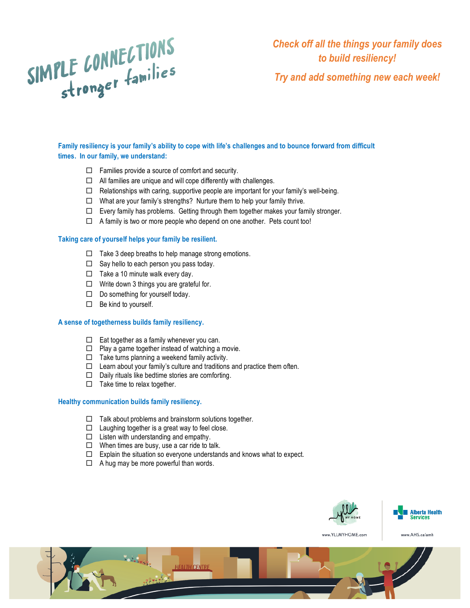# SIMPLE CONNECTIONS

*Check off all the things your family does to build resiliency! Try and add something new each week!*

**Family resiliency is your family's ability to cope with life's challenges and to bounce forward from difficult times. In our family, we understand:** 

- $\Box$  Families provide a source of comfort and security.
- $\Box$  All families are unique and will cope differently with challenges.
- $\square$  Relationships with caring, supportive people are important for your family's well-being.
- $\Box$  What are your family's strengths? Nurture them to help your family thrive.
- $\Box$  Every family has problems. Getting through them together makes your family stronger.
- $\Box$  A family is two or more people who depend on one another. Pets count too!

# **Taking care of yourself helps your family be resilient.**

- $\Box$  Take 3 deep breaths to help manage strong emotions.
- $\Box$  Say hello to each person you pass today.
- $\Box$  Take a 10 minute walk every day.
- $\Box$  Write down 3 things you are grateful for.
- $\Box$  Do something for yourself today.
- $\Box$  Be kind to yourself.

# **A sense of togetherness builds family resiliency.**

- $\Box$  Eat together as a family whenever you can.
- $\Box$  Play a game together instead of watching a movie.
- $\Box$  Take turns planning a weekend family activity.
- $\Box$  Learn about your family's culture and traditions and practice them often.
- $\Box$  Daily rituals like bedtime stories are comforting.
- $\Box$  Take time to relax together.

## **Healthy communication builds family resiliency.**

- $\Box$  Talk about problems and brainstorm solutions together.
- $\Box$  Laughing together is a great way to feel close.
- $\Box$  Listen with understanding and empathy.
- $\square$  When times are busy, use a car ride to talk.
- $\Box$  Explain the situation so everyone understands and knows what to expect.
- $\Box$  A hug may be more powerful than words.





www.AHS.ca/amh